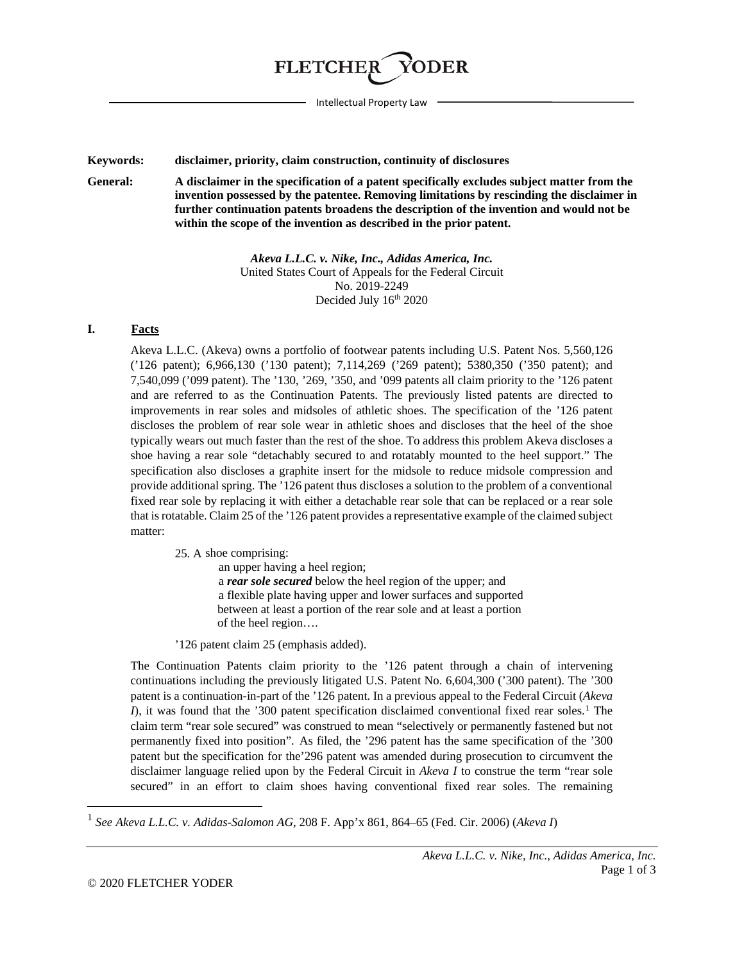

Intellectual Property Law

**Keywords: disclaimer, priority, claim construction, continuity of disclosures**

**General: A disclaimer in the specification of a patent specifically excludes subject matter from the invention possessed by the patentee. Removing limitations by rescinding the disclaimer in further continuation patents broadens the description of the invention and would not be within the scope of the invention as described in the prior patent.** 

> *Akeva L.L.C. v. Nike, Inc., Adidas America, Inc.* United States Court of Appeals for the Federal Circuit No. 2019-2249 Decided July  $16<sup>th</sup> 2020$

## **I. Facts**

Akeva L.L.C. (Akeva) owns a portfolio of footwear patents including U.S. Patent Nos. 5,560,126 ('126 patent); 6,966,130 ('130 patent); 7,114,269 ('269 patent); 5380,350 ('350 patent); and 7,540,099 ('099 patent). The '130, '269, '350, and '099 patents all claim priority to the '126 patent and are referred to as the Continuation Patents. The previously listed patents are directed to improvements in rear soles and midsoles of athletic shoes. The specification of the '126 patent discloses the problem of rear sole wear in athletic shoes and discloses that the heel of the shoe typically wears out much faster than the rest of the shoe. To address this problem Akeva discloses a shoe having a rear sole "detachably secured to and rotatably mounted to the heel support." The specification also discloses a graphite insert for the midsole to reduce midsole compression and provide additional spring. The '126 patent thus discloses a solution to the problem of a conventional fixed rear sole by replacing it with either a detachable rear sole that can be replaced or a rear sole that isrotatable. Claim 25 of the '126 patent provides a representative example of the claimed subject matter:

25. A shoe comprising:

 an upper having a heel region; a *rear sole secured* below the heel region of the upper; and a flexible plate having upper and lower surfaces and supported between at least a portion of the rear sole and at least a portion of the heel region….

'126 patent claim 25 (emphasis added).

The Continuation Patents claim priority to the '126 patent through a chain of intervening continuations including the previously litigated U.S. Patent No. 6,604,300 ('300 patent). The '300 patent is a continuation-in-part of the '126 patent. In a previous appeal to the Federal Circuit (*Akeva I*), it was found that the '300 patent specification disclaimed conventional fixed rear soles. [1](#page-0-0) The claim term "rear sole secured" was construed to mean "selectively or permanently fastened but not permanently fixed into position". As filed, the '296 patent has the same specification of the '300 patent but the specification for the'296 patent was amended during prosecution to circumvent the disclaimer language relied upon by the Federal Circuit in *Akeva I* to construe the term "rear sole secured" in an effort to claim shoes having conventional fixed rear soles. The remaining

 $\overline{\phantom{a}}$ 

<span id="page-0-0"></span><sup>1</sup> *See Akeva L.L.C. v. Adidas-Salomon AG*, 208 F. App'x 861, 864–65 (Fed. Cir. 2006) (*Akeva I*)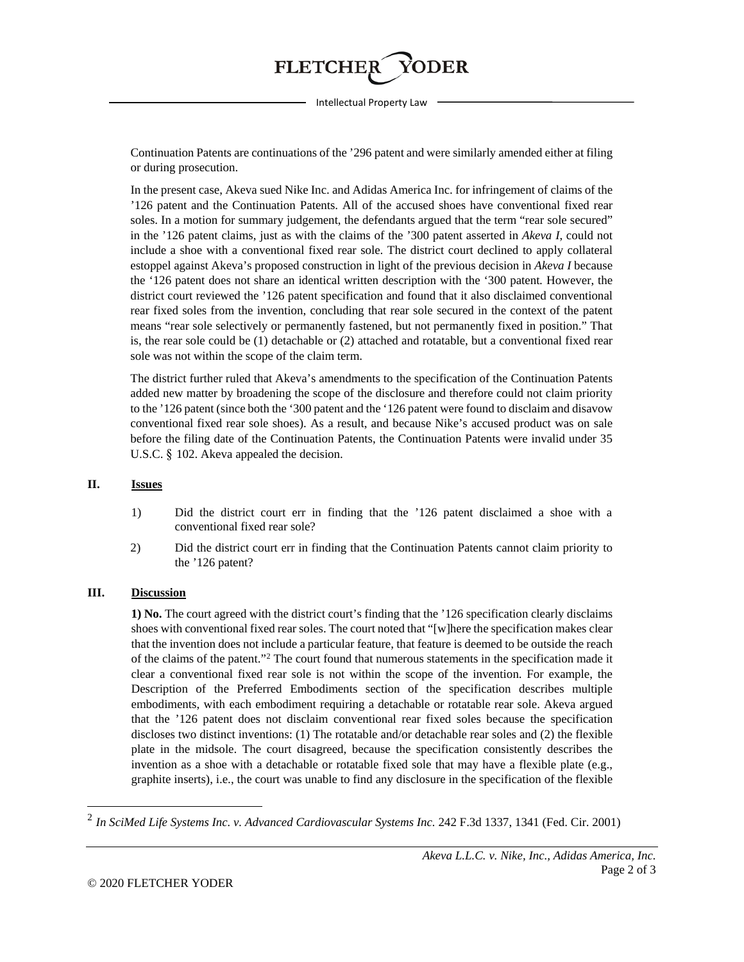

Intellectual Property Law

Continuation Patents are continuations of the '296 patent and were similarly amended either at filing or during prosecution.

In the present case, Akeva sued Nike Inc. and Adidas America Inc. for infringement of claims of the '126 patent and the Continuation Patents. All of the accused shoes have conventional fixed rear soles. In a motion for summary judgement, the defendants argued that the term "rear sole secured" in the '126 patent claims, just as with the claims of the '300 patent asserted in *Akeva I*, could not include a shoe with a conventional fixed rear sole. The district court declined to apply collateral estoppel against Akeva's proposed construction in light of the previous decision in *Akeva I* because the '126 patent does not share an identical written description with the '300 patent*.* However, the district court reviewed the '126 patent specification and found that it also disclaimed conventional rear fixed soles from the invention, concluding that rear sole secured in the context of the patent means "rear sole selectively or permanently fastened, but not permanently fixed in position." That is, the rear sole could be (1) detachable or (2) attached and rotatable, but a conventional fixed rear sole was not within the scope of the claim term.

The district further ruled that Akeva's amendments to the specification of the Continuation Patents added new matter by broadening the scope of the disclosure and therefore could not claim priority to the '126 patent (since both the '300 patent and the '126 patent were found to disclaim and disavow conventional fixed rear sole shoes). As a result, and because Nike's accused product was on sale before the filing date of the Continuation Patents, the Continuation Patents were invalid under 35 U.S.C. § 102. Akeva appealed the decision.

## **II. Issues**

- 1) Did the district court err in finding that the '126 patent disclaimed a shoe with a conventional fixed rear sole?
- 2) Did the district court err in finding that the Continuation Patents cannot claim priority to the '126 patent?

## **III. Discussion**

**1) No.** The court agreed with the district court's finding that the '126 specification clearly disclaims shoes with conventional fixed rear soles. The court noted that "[w]here the specification makes clear that the invention does not include a particular feature, that feature is deemed to be outside the reach of the claims of the patent.["2](#page-1-0) The court found that numerous statements in the specification made it clear a conventional fixed rear sole is not within the scope of the invention. For example, the Description of the Preferred Embodiments section of the specification describes multiple embodiments, with each embodiment requiring a detachable or rotatable rear sole. Akeva argued that the '126 patent does not disclaim conventional rear fixed soles because the specification discloses two distinct inventions: (1) The rotatable and/or detachable rear soles and (2) the flexible plate in the midsole. The court disagreed, because the specification consistently describes the invention as a shoe with a detachable or rotatable fixed sole that may have a flexible plate (e.g., graphite inserts), i.e., the court was unable to find any disclosure in the specification of the flexible

 $\overline{\phantom{a}}$ 

<span id="page-1-0"></span><sup>2</sup> *In SciMed Life Systems Inc. v. Advanced Cardiovascular Systems Inc.* 242 F.3d 1337, 1341 (Fed. Cir. 2001)